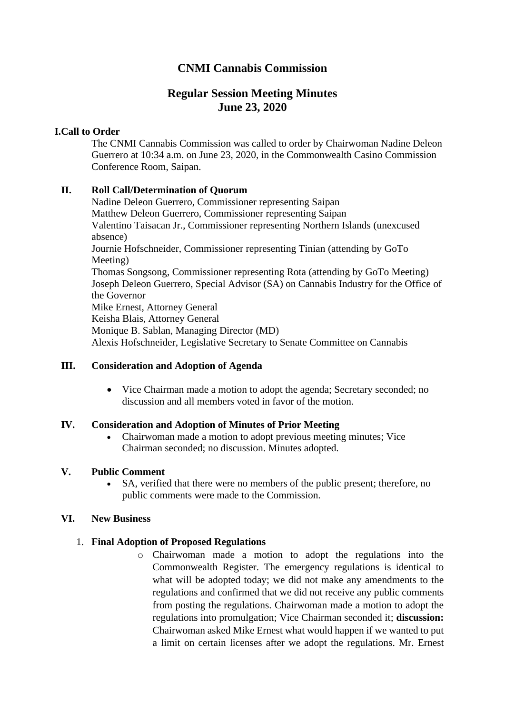# **CNMI Cannabis Commission**

# **Regular Session Meeting Minutes June 23, 2020**

### **I.Call to Order**

The CNMI Cannabis Commission was called to order by Chairwoman Nadine Deleon Guerrero at 10:34 a.m. on June 23, 2020, in the Commonwealth Casino Commission Conference Room, Saipan.

### **II. Roll Call/Determination of Quorum**

Nadine Deleon Guerrero, Commissioner representing Saipan Matthew Deleon Guerrero, Commissioner representing Saipan Valentino Taisacan Jr., Commissioner representing Northern Islands (unexcused absence) Journie Hofschneider, Commissioner representing Tinian (attending by GoTo Meeting) Thomas Songsong, Commissioner representing Rota (attending by GoTo Meeting) Joseph Deleon Guerrero, Special Advisor (SA) on Cannabis Industry for the Office of the Governor Mike Ernest, Attorney General Keisha Blais, Attorney General Monique B. Sablan, Managing Director (MD) Alexis Hofschneider, Legislative Secretary to Senate Committee on Cannabis

### **III. Consideration and Adoption of Agenda**

• Vice Chairman made a motion to adopt the agenda; Secretary seconded; no discussion and all members voted in favor of the motion.

### **IV. Consideration and Adoption of Minutes of Prior Meeting**

• Chairwoman made a motion to adopt previous meeting minutes; Vice Chairman seconded; no discussion. Minutes adopted.

### **V. Public Comment**

• SA, verified that there were no members of the public present; therefore, no public comments were made to the Commission.

### **VI. New Business**

## 1. **Final Adoption of Proposed Regulations**

o Chairwoman made a motion to adopt the regulations into the Commonwealth Register. The emergency regulations is identical to what will be adopted today; we did not make any amendments to the regulations and confirmed that we did not receive any public comments from posting the regulations. Chairwoman made a motion to adopt the regulations into promulgation; Vice Chairman seconded it; **discussion:** Chairwoman asked Mike Ernest what would happen if we wanted to put a limit on certain licenses after we adopt the regulations. Mr. Ernest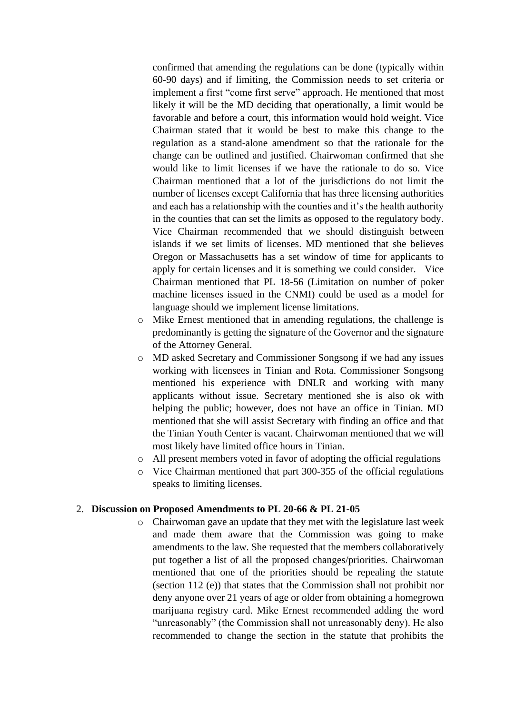confirmed that amending the regulations can be done (typically within 60-90 days) and if limiting, the Commission needs to set criteria or implement a first "come first serve" approach. He mentioned that most likely it will be the MD deciding that operationally, a limit would be favorable and before a court, this information would hold weight. Vice Chairman stated that it would be best to make this change to the regulation as a stand-alone amendment so that the rationale for the change can be outlined and justified. Chairwoman confirmed that she would like to limit licenses if we have the rationale to do so. Vice Chairman mentioned that a lot of the jurisdictions do not limit the number of licenses except California that has three licensing authorities and each has a relationship with the counties and it's the health authority in the counties that can set the limits as opposed to the regulatory body. Vice Chairman recommended that we should distinguish between islands if we set limits of licenses. MD mentioned that she believes Oregon or Massachusetts has a set window of time for applicants to apply for certain licenses and it is something we could consider. Vice Chairman mentioned that PL 18-56 (Limitation on number of poker machine licenses issued in the CNMI) could be used as a model for language should we implement license limitations.

- o Mike Ernest mentioned that in amending regulations, the challenge is predominantly is getting the signature of the Governor and the signature of the Attorney General.
- o MD asked Secretary and Commissioner Songsong if we had any issues working with licensees in Tinian and Rota. Commissioner Songsong mentioned his experience with DNLR and working with many applicants without issue. Secretary mentioned she is also ok with helping the public; however, does not have an office in Tinian. MD mentioned that she will assist Secretary with finding an office and that the Tinian Youth Center is vacant. Chairwoman mentioned that we will most likely have limited office hours in Tinian.
- o All present members voted in favor of adopting the official regulations
- o Vice Chairman mentioned that part 300-355 of the official regulations speaks to limiting licenses.

#### 2. **Discussion on Proposed Amendments to PL 20-66 & PL 21-05**

o Chairwoman gave an update that they met with the legislature last week and made them aware that the Commission was going to make amendments to the law. She requested that the members collaboratively put together a list of all the proposed changes/priorities. Chairwoman mentioned that one of the priorities should be repealing the statute (section 112 (e)) that states that the Commission shall not prohibit nor deny anyone over 21 years of age or older from obtaining a homegrown marijuana registry card. Mike Ernest recommended adding the word "unreasonably" (the Commission shall not unreasonably deny). He also recommended to change the section in the statute that prohibits the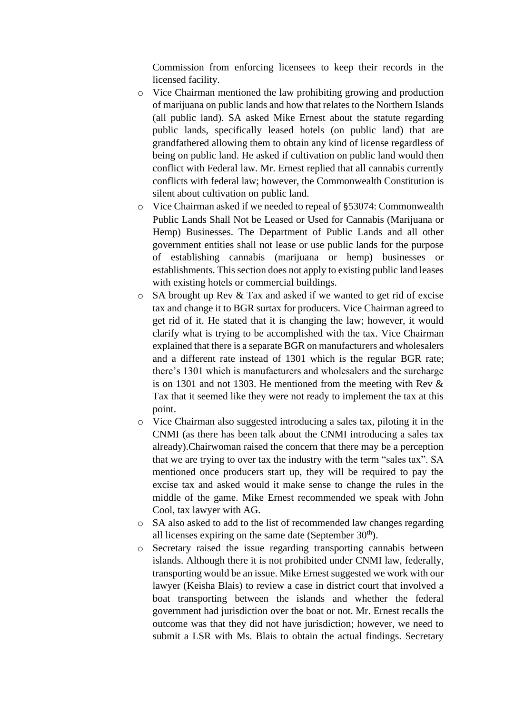Commission from enforcing licensees to keep their records in the licensed facility.

- o Vice Chairman mentioned the law prohibiting growing and production of marijuana on public lands and how that relates to the Northern Islands (all public land). SA asked Mike Ernest about the statute regarding public lands, specifically leased hotels (on public land) that are grandfathered allowing them to obtain any kind of license regardless of being on public land. He asked if cultivation on public land would then conflict with Federal law. Mr. Ernest replied that all cannabis currently conflicts with federal law; however, the Commonwealth Constitution is silent about cultivation on public land.
- o Vice Chairman asked if we needed to repeal of §53074: Commonwealth Public Lands Shall Not be Leased or Used for Cannabis (Marijuana or Hemp) Businesses. The Department of Public Lands and all other government entities shall not lease or use public lands for the purpose of establishing cannabis (marijuana or hemp) businesses or establishments. This section does not apply to existing public land leases with existing hotels or commercial buildings.
- o SA brought up Rev & Tax and asked if we wanted to get rid of excise tax and change it to BGR surtax for producers. Vice Chairman agreed to get rid of it. He stated that it is changing the law; however, it would clarify what is trying to be accomplished with the tax. Vice Chairman explained that there is a separate BGR on manufacturers and wholesalers and a different rate instead of 1301 which is the regular BGR rate; there's 1301 which is manufacturers and wholesalers and the surcharge is on 1301 and not 1303. He mentioned from the meeting with Rev & Tax that it seemed like they were not ready to implement the tax at this point.
- o Vice Chairman also suggested introducing a sales tax, piloting it in the CNMI (as there has been talk about the CNMI introducing a sales tax already).Chairwoman raised the concern that there may be a perception that we are trying to over tax the industry with the term "sales tax". SA mentioned once producers start up, they will be required to pay the excise tax and asked would it make sense to change the rules in the middle of the game. Mike Ernest recommended we speak with John Cool, tax lawyer with AG.
- o SA also asked to add to the list of recommended law changes regarding all licenses expiring on the same date (September  $30<sup>th</sup>$ ).
- o Secretary raised the issue regarding transporting cannabis between islands. Although there it is not prohibited under CNMI law, federally, transporting would be an issue. Mike Ernest suggested we work with our lawyer (Keisha Blais) to review a case in district court that involved a boat transporting between the islands and whether the federal government had jurisdiction over the boat or not. Mr. Ernest recalls the outcome was that they did not have jurisdiction; however, we need to submit a LSR with Ms. Blais to obtain the actual findings. Secretary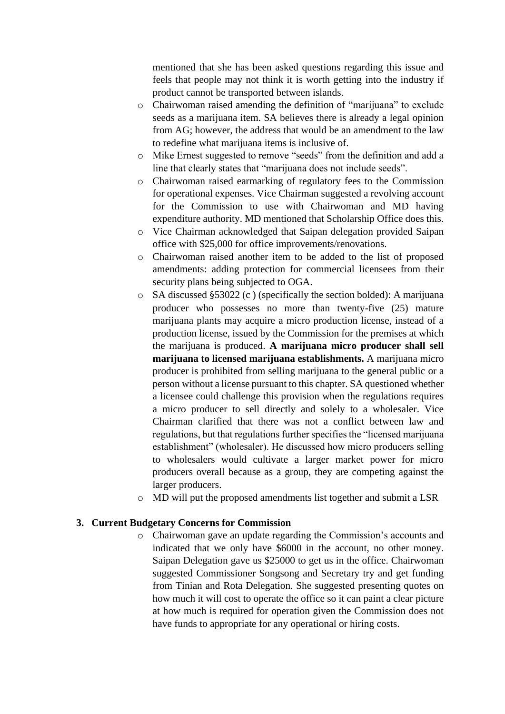mentioned that she has been asked questions regarding this issue and feels that people may not think it is worth getting into the industry if product cannot be transported between islands.

- o Chairwoman raised amending the definition of "marijuana" to exclude seeds as a marijuana item. SA believes there is already a legal opinion from AG; however, the address that would be an amendment to the law to redefine what marijuana items is inclusive of.
- o Mike Ernest suggested to remove "seeds" from the definition and add a line that clearly states that "marijuana does not include seeds".
- o Chairwoman raised earmarking of regulatory fees to the Commission for operational expenses. Vice Chairman suggested a revolving account for the Commission to use with Chairwoman and MD having expenditure authority. MD mentioned that Scholarship Office does this.
- o Vice Chairman acknowledged that Saipan delegation provided Saipan office with \$25,000 for office improvements/renovations.
- o Chairwoman raised another item to be added to the list of proposed amendments: adding protection for commercial licensees from their security plans being subjected to OGA.
- o SA discussed §53022 (c ) (specifically the section bolded): A marijuana producer who possesses no more than twenty-five (25) mature marijuana plants may acquire a micro production license, instead of a production license, issued by the Commission for the premises at which the marijuana is produced. **A marijuana micro producer shall sell marijuana to licensed marijuana establishments.** A marijuana micro producer is prohibited from selling marijuana to the general public or a person without a license pursuant to this chapter. SA questioned whether a licensee could challenge this provision when the regulations requires a micro producer to sell directly and solely to a wholesaler. Vice Chairman clarified that there was not a conflict between law and regulations, but that regulations further specifies the "licensed marijuana establishment" (wholesaler). He discussed how micro producers selling to wholesalers would cultivate a larger market power for micro producers overall because as a group, they are competing against the larger producers.
- o MD will put the proposed amendments list together and submit a LSR

### **3. Current Budgetary Concerns for Commission**

o Chairwoman gave an update regarding the Commission's accounts and indicated that we only have \$6000 in the account, no other money. Saipan Delegation gave us \$25000 to get us in the office. Chairwoman suggested Commissioner Songsong and Secretary try and get funding from Tinian and Rota Delegation. She suggested presenting quotes on how much it will cost to operate the office so it can paint a clear picture at how much is required for operation given the Commission does not have funds to appropriate for any operational or hiring costs.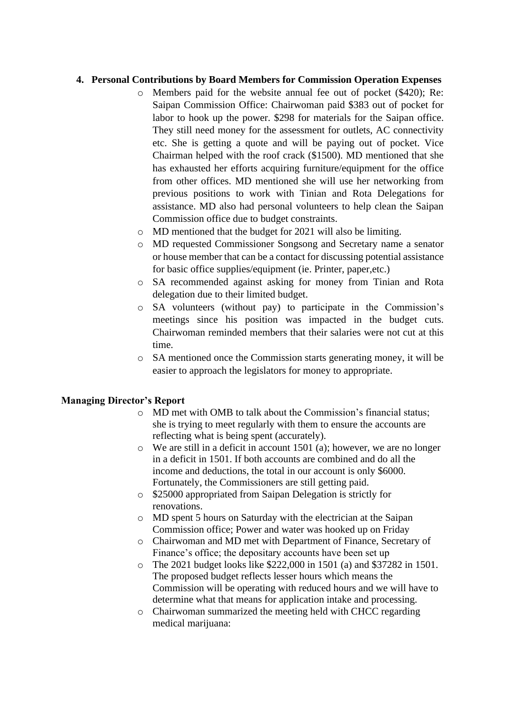### **4. Personal Contributions by Board Members for Commission Operation Expenses**

- o Members paid for the website annual fee out of pocket (\$420); Re: Saipan Commission Office: Chairwoman paid \$383 out of pocket for labor to hook up the power. \$298 for materials for the Saipan office. They still need money for the assessment for outlets, AC connectivity etc. She is getting a quote and will be paying out of pocket. Vice Chairman helped with the roof crack (\$1500). MD mentioned that she has exhausted her efforts acquiring furniture/equipment for the office from other offices. MD mentioned she will use her networking from previous positions to work with Tinian and Rota Delegations for assistance. MD also had personal volunteers to help clean the Saipan Commission office due to budget constraints.
- o MD mentioned that the budget for 2021 will also be limiting.
- o MD requested Commissioner Songsong and Secretary name a senator or house member that can be a contact for discussing potential assistance for basic office supplies/equipment (ie. Printer, paper,etc.)
- o SA recommended against asking for money from Tinian and Rota delegation due to their limited budget.
- o SA volunteers (without pay) to participate in the Commission's meetings since his position was impacted in the budget cuts. Chairwoman reminded members that their salaries were not cut at this time.
- o SA mentioned once the Commission starts generating money, it will be easier to approach the legislators for money to appropriate.

### **Managing Director's Report**

- o MD met with OMB to talk about the Commission's financial status; she is trying to meet regularly with them to ensure the accounts are reflecting what is being spent (accurately).
- o We are still in a deficit in account 1501 (a); however, we are no longer in a deficit in 1501. If both accounts are combined and do all the income and deductions, the total in our account is only \$6000. Fortunately, the Commissioners are still getting paid.
- o \$25000 appropriated from Saipan Delegation is strictly for renovations.
- o MD spent 5 hours on Saturday with the electrician at the Saipan Commission office; Power and water was hooked up on Friday
- o Chairwoman and MD met with Department of Finance, Secretary of Finance's office; the depositary accounts have been set up
- o The 2021 budget looks like \$222,000 in 1501 (a) and \$37282 in 1501. The proposed budget reflects lesser hours which means the Commission will be operating with reduced hours and we will have to determine what that means for application intake and processing.
- o Chairwoman summarized the meeting held with CHCC regarding medical marijuana: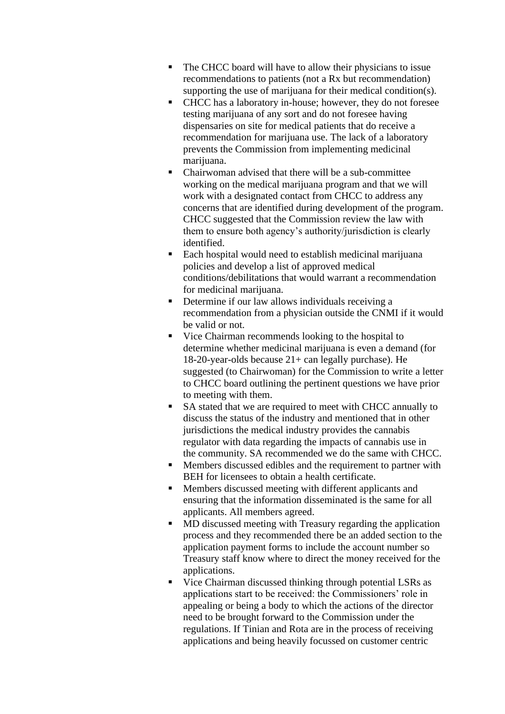- The CHCC board will have to allow their physicians to issue recommendations to patients (not a Rx but recommendation) supporting the use of marijuana for their medical condition(s).
- CHCC has a laboratory in-house; however, they do not foresee testing marijuana of any sort and do not foresee having dispensaries on site for medical patients that do receive a recommendation for marijuana use. The lack of a laboratory prevents the Commission from implementing medicinal marijuana.
- Chairwoman advised that there will be a sub-committee working on the medical marijuana program and that we will work with a designated contact from CHCC to address any concerns that are identified during development of the program. CHCC suggested that the Commission review the law with them to ensure both agency's authority/jurisdiction is clearly identified.
- Each hospital would need to establish medicinal marijuana policies and develop a list of approved medical conditions/debilitations that would warrant a recommendation for medicinal marijuana.
- **•** Determine if our law allows individuals receiving a recommendation from a physician outside the CNMI if it would be valid or not.
- Vice Chairman recommends looking to the hospital to determine whether medicinal marijuana is even a demand (for 18-20-year-olds because 21+ can legally purchase). He suggested (to Chairwoman) for the Commission to write a letter to CHCC board outlining the pertinent questions we have prior to meeting with them.
- SA stated that we are required to meet with CHCC annually to discuss the status of the industry and mentioned that in other jurisdictions the medical industry provides the cannabis regulator with data regarding the impacts of cannabis use in the community. SA recommended we do the same with CHCC.
- Members discussed edibles and the requirement to partner with BEH for licensees to obtain a health certificate.
- Members discussed meeting with different applicants and ensuring that the information disseminated is the same for all applicants. All members agreed.
- MD discussed meeting with Treasury regarding the application process and they recommended there be an added section to the application payment forms to include the account number so Treasury staff know where to direct the money received for the applications.
- Vice Chairman discussed thinking through potential LSRs as applications start to be received: the Commissioners' role in appealing or being a body to which the actions of the director need to be brought forward to the Commission under the regulations. If Tinian and Rota are in the process of receiving applications and being heavily focussed on customer centric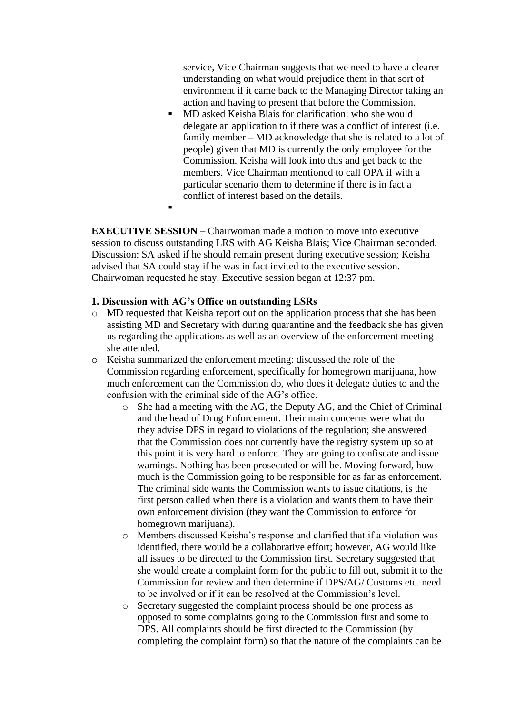service, Vice Chairman suggests that we need to have a clearer understanding on what would prejudice them in that sort of environment if it came back to the Managing Director taking an action and having to present that before the Commission.

MD asked Keisha Blais for clarification: who she would delegate an application to if there was a conflict of interest (i.e. family member – MD acknowledge that she is related to a lot of people) given that MD is currently the only employee for the Commission. Keisha will look into this and get back to the members. Vice Chairman mentioned to call OPA if with a particular scenario them to determine if there is in fact a conflict of interest based on the details.

**EXECUTIVE SESSION –** Chairwoman made a motion to move into executive session to discuss outstanding LRS with AG Keisha Blais; Vice Chairman seconded. Discussion: SA asked if he should remain present during executive session; Keisha advised that SA could stay if he was in fact invited to the executive session. Chairwoman requested he stay. Executive session began at 12:37 pm.

### **1. Discussion with AG's Office on outstanding LSRs**

▪

- o MD requested that Keisha report out on the application process that she has been assisting MD and Secretary with during quarantine and the feedback she has given us regarding the applications as well as an overview of the enforcement meeting she attended.
- o Keisha summarized the enforcement meeting: discussed the role of the Commission regarding enforcement, specifically for homegrown marijuana, how much enforcement can the Commission do, who does it delegate duties to and the confusion with the criminal side of the AG's office.
	- o She had a meeting with the AG, the Deputy AG, and the Chief of Criminal and the head of Drug Enforcement. Their main concerns were what do they advise DPS in regard to violations of the regulation; she answered that the Commission does not currently have the registry system up so at this point it is very hard to enforce. They are going to confiscate and issue warnings. Nothing has been prosecuted or will be. Moving forward, how much is the Commission going to be responsible for as far as enforcement. The criminal side wants the Commission wants to issue citations, is the first person called when there is a violation and wants them to have their own enforcement division (they want the Commission to enforce for homegrown marijuana).
	- o Members discussed Keisha's response and clarified that if a violation was identified, there would be a collaborative effort; however, AG would like all issues to be directed to the Commission first. Secretary suggested that she would create a complaint form for the public to fill out, submit it to the Commission for review and then determine if DPS/AG/ Customs etc. need to be involved or if it can be resolved at the Commission's level.
	- o Secretary suggested the complaint process should be one process as opposed to some complaints going to the Commission first and some to DPS. All complaints should be first directed to the Commission (by completing the complaint form) so that the nature of the complaints can be